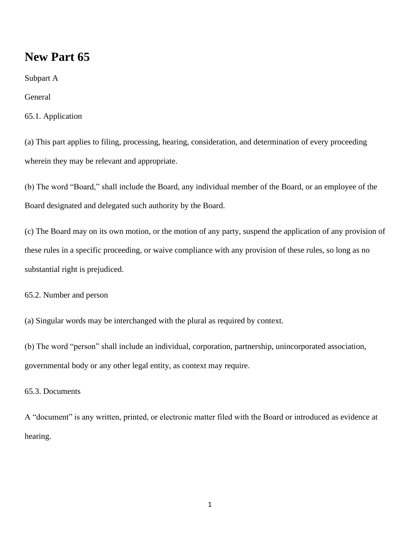# **New Part 65**

Subpart A

General

# 65.1. Application

(a) This part applies to filing, processing, hearing, consideration, and determination of every proceeding wherein they may be relevant and appropriate.

(b) The word "Board," shall include the Board, any individual member of the Board, or an employee of the Board designated and delegated such authority by the Board.

(c) The Board may on its own motion, or the motion of any party, suspend the application of any provision of these rules in a specific proceeding, or waive compliance with any provision of these rules, so long as no substantial right is prejudiced.

65.2. Number and person

(a) Singular words may be interchanged with the plural as required by context.

(b) The word "person" shall include an individual, corporation, partnership, unincorporated association, governmental body or any other legal entity, as context may require.

# 65.3. Documents

A "document" is any written, printed, or electronic matter filed with the Board or introduced as evidence at hearing.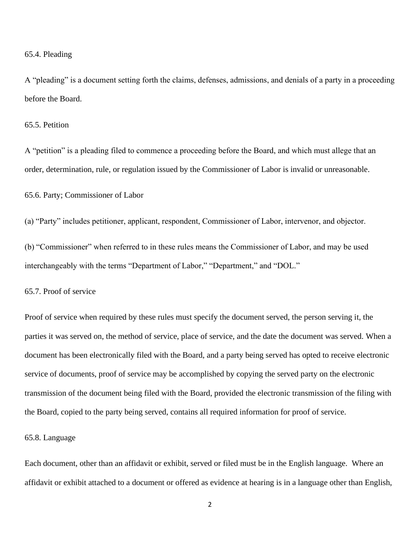#### 65.4. Pleading

A "pleading" is a document setting forth the claims, defenses, admissions, and denials of a party in a proceeding before the Board.

#### 65.5. Petition

A "petition" is a pleading filed to commence a proceeding before the Board, and which must allege that an order, determination, rule, or regulation issued by the Commissioner of Labor is invalid or unreasonable.

65.6. Party; Commissioner of Labor

(a) "Party" includes petitioner, applicant, respondent, Commissioner of Labor, intervenor, and objector.

(b) "Commissioner" when referred to in these rules means the Commissioner of Labor, and may be used interchangeably with the terms "Department of Labor," "Department," and "DOL."

65.7. Proof of service

Proof of service when required by these rules must specify the document served, the person serving it, the parties it was served on, the method of service, place of service, and the date the document was served. When a document has been electronically filed with the Board, and a party being served has opted to receive electronic service of documents, proof of service may be accomplished by copying the served party on the electronic transmission of the document being filed with the Board, provided the electronic transmission of the filing with the Board, copied to the party being served, contains all required information for proof of service.

# 65.8. Language

Each document, other than an affidavit or exhibit, served or filed must be in the English language. Where an affidavit or exhibit attached to a document or offered as evidence at hearing is in a language other than English,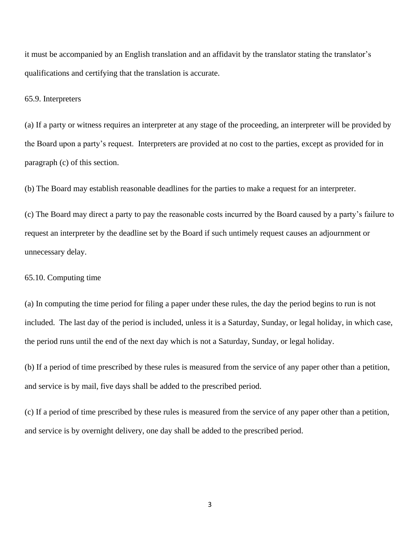it must be accompanied by an English translation and an affidavit by the translator stating the translator's qualifications and certifying that the translation is accurate.

65.9. Interpreters

(a) If a party or witness requires an interpreter at any stage of the proceeding, an interpreter will be provided by the Board upon a party's request. Interpreters are provided at no cost to the parties, except as provided for in paragraph (c) of this section.

(b) The Board may establish reasonable deadlines for the parties to make a request for an interpreter.

(c) The Board may direct a party to pay the reasonable costs incurred by the Board caused by a party's failure to request an interpreter by the deadline set by the Board if such untimely request causes an adjournment or unnecessary delay.

65.10. Computing time

(a) In computing the time period for filing a paper under these rules, the day the period begins to run is not included. The last day of the period is included, unless it is a Saturday, Sunday, or legal holiday, in which case, the period runs until the end of the next day which is not a Saturday, Sunday, or legal holiday.

(b) If a period of time prescribed by these rules is measured from the service of any paper other than a petition, and service is by mail, five days shall be added to the prescribed period.

(c) If a period of time prescribed by these rules is measured from the service of any paper other than a petition, and service is by overnight delivery, one day shall be added to the prescribed period.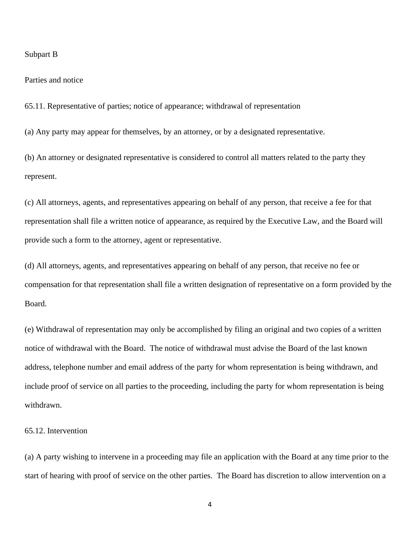#### Subpart B

#### Parties and notice

65.11. Representative of parties; notice of appearance; withdrawal of representation

(a) Any party may appear for themselves, by an attorney, or by a designated representative.

(b) An attorney or designated representative is considered to control all matters related to the party they represent.

(c) All attorneys, agents, and representatives appearing on behalf of any person, that receive a fee for that representation shall file a written notice of appearance, as required by the Executive Law, and the Board will provide such a form to the attorney, agent or representative.

(d) All attorneys, agents, and representatives appearing on behalf of any person, that receive no fee or compensation for that representation shall file a written designation of representative on a form provided by the Board.

(e) Withdrawal of representation may only be accomplished by filing an original and two copies of a written notice of withdrawal with the Board. The notice of withdrawal must advise the Board of the last known address, telephone number and email address of the party for whom representation is being withdrawn, and include proof of service on all parties to the proceeding, including the party for whom representation is being withdrawn.

# 65.12. Intervention

(a) A party wishing to intervene in a proceeding may file an application with the Board at any time prior to the start of hearing with proof of service on the other parties. The Board has discretion to allow intervention on a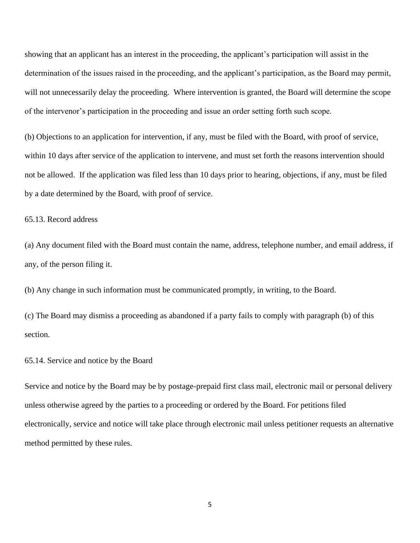showing that an applicant has an interest in the proceeding, the applicant's participation will assist in the determination of the issues raised in the proceeding, and the applicant's participation, as the Board may permit, will not unnecessarily delay the proceeding. Where intervention is granted, the Board will determine the scope of the intervenor's participation in the proceeding and issue an order setting forth such scope.

(b) Objections to an application for intervention, if any, must be filed with the Board, with proof of service, within 10 days after service of the application to intervene, and must set forth the reasons intervention should not be allowed. If the application was filed less than 10 days prior to hearing, objections, if any, must be filed by a date determined by the Board, with proof of service.

# 65.13. Record address

(a) Any document filed with the Board must contain the name, address, telephone number, and email address, if any, of the person filing it.

(b) Any change in such information must be communicated promptly, in writing, to the Board.

(c) The Board may dismiss a proceeding as abandoned if a party fails to comply with paragraph (b) of this section.

## 65.14. Service and notice by the Board

Service and notice by the Board may be by postage-prepaid first class mail, electronic mail or personal delivery unless otherwise agreed by the parties to a proceeding or ordered by the Board. For petitions filed electronically, service and notice will take place through electronic mail unless petitioner requests an alternative method permitted by these rules.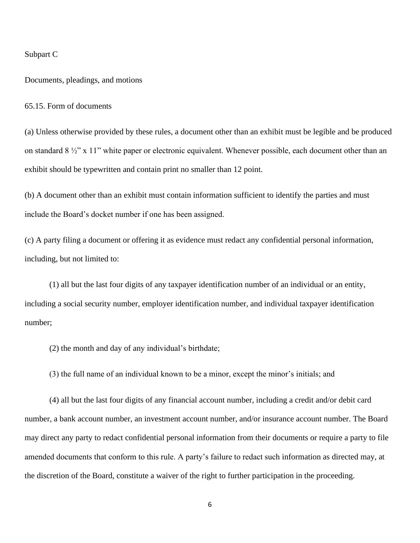#### Subpart C

Documents, pleadings, and motions

65.15. Form of documents

(a) Unless otherwise provided by these rules, a document other than an exhibit must be legible and be produced on standard 8 ½" x 11" white paper or electronic equivalent. Whenever possible, each document other than an exhibit should be typewritten and contain print no smaller than 12 point.

(b) A document other than an exhibit must contain information sufficient to identify the parties and must include the Board's docket number if one has been assigned.

(c) A party filing a document or offering it as evidence must redact any confidential personal information, including, but not limited to:

(1) all but the last four digits of any taxpayer identification number of an individual or an entity, including a social security number, employer identification number, and individual taxpayer identification number;

(2) the month and day of any individual's birthdate;

(3) the full name of an individual known to be a minor, except the minor's initials; and

(4) all but the last four digits of any financial account number, including a credit and/or debit card number, a bank account number, an investment account number, and/or insurance account number. The Board may direct any party to redact confidential personal information from their documents or require a party to file amended documents that conform to this rule. A party's failure to redact such information as directed may, at the discretion of the Board, constitute a waiver of the right to further participation in the proceeding.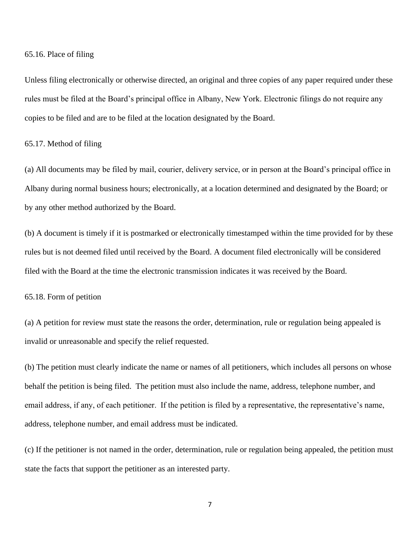65.16. Place of filing

Unless filing electronically or otherwise directed, an original and three copies of any paper required under these rules must be filed at the Board's principal office in Albany, New York. Electronic filings do not require any copies to be filed and are to be filed at the location designated by the Board.

65.17. Method of filing

(a) All documents may be filed by mail, courier, delivery service, or in person at the Board's principal office in Albany during normal business hours; electronically, at a location determined and designated by the Board; or by any other method authorized by the Board.

(b) A document is timely if it is postmarked or electronically timestamped within the time provided for by these rules but is not deemed filed until received by the Board. A document filed electronically will be considered filed with the Board at the time the electronic transmission indicates it was received by the Board.

65.18. Form of petition

(a) A petition for review must state the reasons the order, determination, rule or regulation being appealed is invalid or unreasonable and specify the relief requested.

(b) The petition must clearly indicate the name or names of all petitioners, which includes all persons on whose behalf the petition is being filed. The petition must also include the name, address, telephone number, and email address, if any, of each petitioner. If the petition is filed by a representative, the representative's name, address, telephone number, and email address must be indicated.

(c) If the petitioner is not named in the order, determination, rule or regulation being appealed, the petition must state the facts that support the petitioner as an interested party.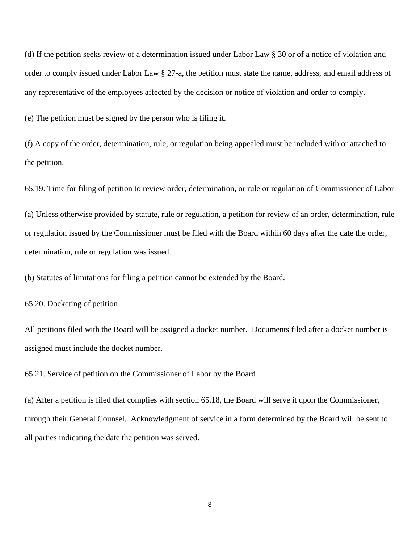(d) If the petition seeks review of a determination issued under Labor Law § 30 or of a notice of violation and order to comply issued under Labor Law § 27-a, the petition must state the name, address, and email address of any representative of the employees affected by the decision or notice of violation and order to comply.

(e) The petition must be signed by the person who is filing it.

(f) A copy of the order, determination, rule, or regulation being appealed must be included with or attached to the petition.

65.19. Time for filing of petition to review order, determination, or rule or regulation of Commissioner of Labor

(a) Unless otherwise provided by statute, rule or regulation, a petition for review of an order, determination, rule or regulation issued by the Commissioner must be filed with the Board within 60 days after the date the order, determination, rule or regulation was issued.

(b) Statutes of limitations for filing a petition cannot be extended by the Board.

65.20. Docketing of petition

All petitions filed with the Board will be assigned a docket number. Documents filed after a docket number is assigned must include the docket number.

65.21. Service of petition on the Commissioner of Labor by the Board

(a) After a petition is filed that complies with section 65.18, the Board will serve it upon the Commissioner, through their General Counsel. Acknowledgment of service in a form determined by the Board will be sent to all parties indicating the date the petition was served.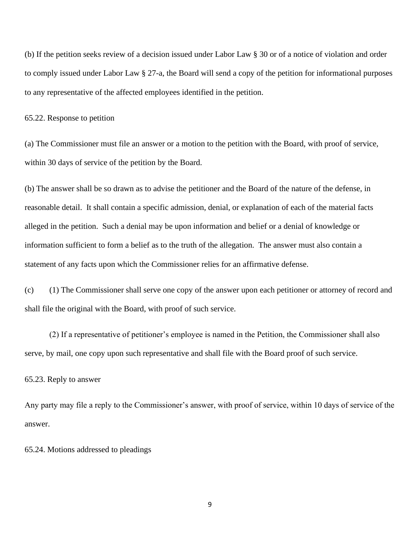(b) If the petition seeks review of a decision issued under Labor Law § 30 or of a notice of violation and order to comply issued under Labor Law § 27-a, the Board will send a copy of the petition for informational purposes to any representative of the affected employees identified in the petition.

#### 65.22. Response to petition

(a) The Commissioner must file an answer or a motion to the petition with the Board, with proof of service, within 30 days of service of the petition by the Board.

(b) The answer shall be so drawn as to advise the petitioner and the Board of the nature of the defense, in reasonable detail. It shall contain a specific admission, denial, or explanation of each of the material facts alleged in the petition. Such a denial may be upon information and belief or a denial of knowledge or information sufficient to form a belief as to the truth of the allegation. The answer must also contain a statement of any facts upon which the Commissioner relies for an affirmative defense.

(c) (1) The Commissioner shall serve one copy of the answer upon each petitioner or attorney of record and shall file the original with the Board, with proof of such service.

(2) If a representative of petitioner's employee is named in the Petition, the Commissioner shall also serve, by mail, one copy upon such representative and shall file with the Board proof of such service.

#### 65.23. Reply to answer

Any party may file a reply to the Commissioner's answer, with proof of service, within 10 days of service of the answer.

#### 65.24. Motions addressed to pleadings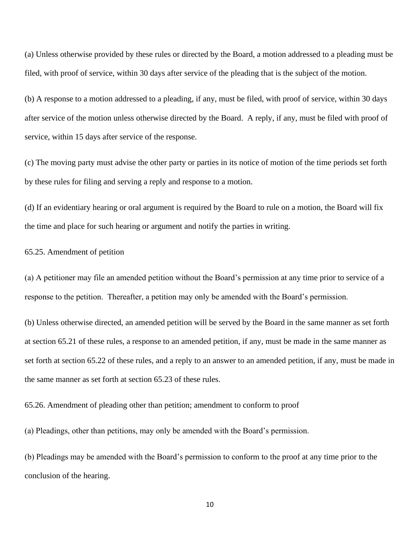(a) Unless otherwise provided by these rules or directed by the Board, a motion addressed to a pleading must be filed, with proof of service, within 30 days after service of the pleading that is the subject of the motion.

(b) A response to a motion addressed to a pleading, if any, must be filed, with proof of service, within 30 days after service of the motion unless otherwise directed by the Board. A reply, if any, must be filed with proof of service, within 15 days after service of the response.

(c) The moving party must advise the other party or parties in its notice of motion of the time periods set forth by these rules for filing and serving a reply and response to a motion.

(d) If an evidentiary hearing or oral argument is required by the Board to rule on a motion, the Board will fix the time and place for such hearing or argument and notify the parties in writing.

# 65.25. Amendment of petition

(a) A petitioner may file an amended petition without the Board's permission at any time prior to service of a response to the petition. Thereafter, a petition may only be amended with the Board's permission.

(b) Unless otherwise directed, an amended petition will be served by the Board in the same manner as set forth at section 65.21 of these rules, a response to an amended petition, if any, must be made in the same manner as set forth at section 65.22 of these rules, and a reply to an answer to an amended petition, if any, must be made in the same manner as set forth at section 65.23 of these rules.

65.26. Amendment of pleading other than petition; amendment to conform to proof

(a) Pleadings, other than petitions, may only be amended with the Board's permission.

(b) Pleadings may be amended with the Board's permission to conform to the proof at any time prior to the conclusion of the hearing.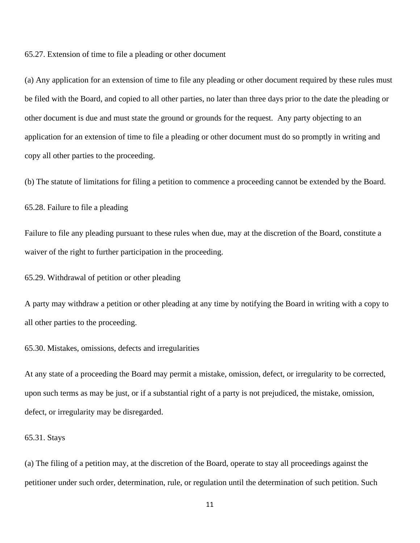65.27. Extension of time to file a pleading or other document

(a) Any application for an extension of time to file any pleading or other document required by these rules must be filed with the Board, and copied to all other parties, no later than three days prior to the date the pleading or other document is due and must state the ground or grounds for the request. Any party objecting to an application for an extension of time to file a pleading or other document must do so promptly in writing and copy all other parties to the proceeding.

(b) The statute of limitations for filing a petition to commence a proceeding cannot be extended by the Board.

65.28. Failure to file a pleading

Failure to file any pleading pursuant to these rules when due, may at the discretion of the Board, constitute a waiver of the right to further participation in the proceeding.

65.29. Withdrawal of petition or other pleading

A party may withdraw a petition or other pleading at any time by notifying the Board in writing with a copy to all other parties to the proceeding.

65.30. Mistakes, omissions, defects and irregularities

At any state of a proceeding the Board may permit a mistake, omission, defect, or irregularity to be corrected, upon such terms as may be just, or if a substantial right of a party is not prejudiced, the mistake, omission, defect, or irregularity may be disregarded.

# 65.31. Stays

(a) The filing of a petition may, at the discretion of the Board, operate to stay all proceedings against the petitioner under such order, determination, rule, or regulation until the determination of such petition. Such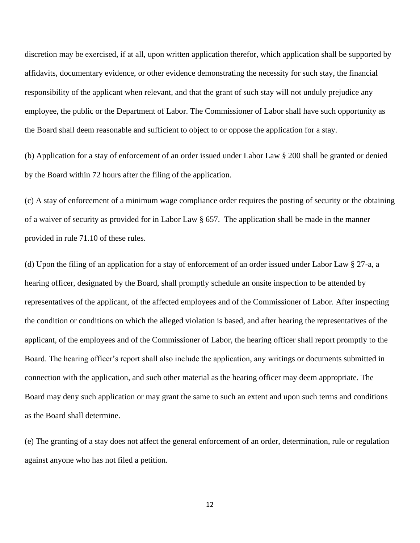discretion may be exercised, if at all, upon written application therefor, which application shall be supported by affidavits, documentary evidence, or other evidence demonstrating the necessity for such stay, the financial responsibility of the applicant when relevant, and that the grant of such stay will not unduly prejudice any employee, the public or the Department of Labor. The Commissioner of Labor shall have such opportunity as the Board shall deem reasonable and sufficient to object to or oppose the application for a stay.

(b) Application for a stay of enforcement of an order issued under Labor Law § 200 shall be granted or denied by the Board within 72 hours after the filing of the application.

(c) A stay of enforcement of a minimum wage compliance order requires the posting of security or the obtaining of a waiver of security as provided for in Labor Law § 657. The application shall be made in the manner provided in rule 71.10 of these rules.

(d) Upon the filing of an application for a stay of enforcement of an order issued under Labor Law § 27-a, a hearing officer, designated by the Board, shall promptly schedule an onsite inspection to be attended by representatives of the applicant, of the affected employees and of the Commissioner of Labor. After inspecting the condition or conditions on which the alleged violation is based, and after hearing the representatives of the applicant, of the employees and of the Commissioner of Labor, the hearing officer shall report promptly to the Board. The hearing officer's report shall also include the application, any writings or documents submitted in connection with the application, and such other material as the hearing officer may deem appropriate. The Board may deny such application or may grant the same to such an extent and upon such terms and conditions as the Board shall determine.

(e) The granting of a stay does not affect the general enforcement of an order, determination, rule or regulation against anyone who has not filed a petition.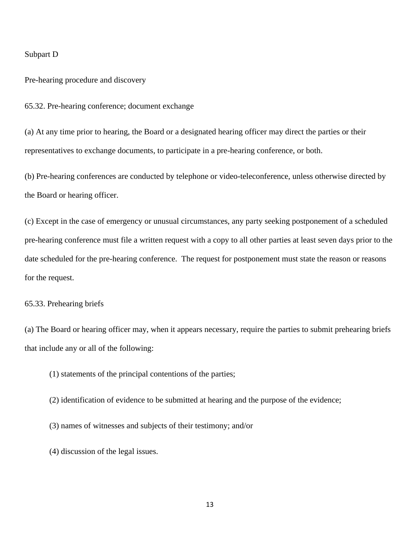#### Subpart D

Pre-hearing procedure and discovery

65.32. Pre-hearing conference; document exchange

(a) At any time prior to hearing, the Board or a designated hearing officer may direct the parties or their representatives to exchange documents, to participate in a pre-hearing conference, or both.

(b) Pre-hearing conferences are conducted by telephone or video-teleconference, unless otherwise directed by the Board or hearing officer.

(c) Except in the case of emergency or unusual circumstances, any party seeking postponement of a scheduled pre-hearing conference must file a written request with a copy to all other parties at least seven days prior to the date scheduled for the pre-hearing conference. The request for postponement must state the reason or reasons for the request.

#### 65.33. Prehearing briefs

(a) The Board or hearing officer may, when it appears necessary, require the parties to submit prehearing briefs that include any or all of the following:

(1) statements of the principal contentions of the parties;

- (2) identification of evidence to be submitted at hearing and the purpose of the evidence;
- (3) names of witnesses and subjects of their testimony; and/or

(4) discussion of the legal issues.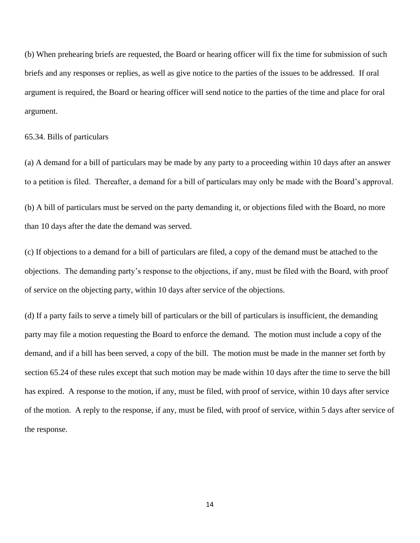(b) When prehearing briefs are requested, the Board or hearing officer will fix the time for submission of such briefs and any responses or replies, as well as give notice to the parties of the issues to be addressed. If oral argument is required, the Board or hearing officer will send notice to the parties of the time and place for oral argument.

#### 65.34. Bills of particulars

(a) A demand for a bill of particulars may be made by any party to a proceeding within 10 days after an answer to a petition is filed. Thereafter, a demand for a bill of particulars may only be made with the Board's approval.

(b) A bill of particulars must be served on the party demanding it, or objections filed with the Board, no more than 10 days after the date the demand was served.

(c) If objections to a demand for a bill of particulars are filed, a copy of the demand must be attached to the objections. The demanding party's response to the objections, if any, must be filed with the Board, with proof of service on the objecting party, within 10 days after service of the objections.

(d) If a party fails to serve a timely bill of particulars or the bill of particulars is insufficient, the demanding party may file a motion requesting the Board to enforce the demand. The motion must include a copy of the demand, and if a bill has been served, a copy of the bill. The motion must be made in the manner set forth by section 65.24 of these rules except that such motion may be made within 10 days after the time to serve the bill has expired. A response to the motion, if any, must be filed, with proof of service, within 10 days after service of the motion. A reply to the response, if any, must be filed, with proof of service, within 5 days after service of the response.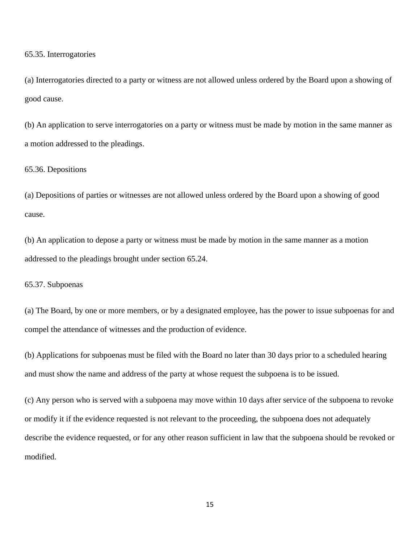65.35. Interrogatories

(a) Interrogatories directed to a party or witness are not allowed unless ordered by the Board upon a showing of good cause.

(b) An application to serve interrogatories on a party or witness must be made by motion in the same manner as a motion addressed to the pleadings.

#### 65.36. Depositions

(a) Depositions of parties or witnesses are not allowed unless ordered by the Board upon a showing of good cause.

(b) An application to depose a party or witness must be made by motion in the same manner as a motion addressed to the pleadings brought under section 65.24.

65.37. Subpoenas

(a) The Board, by one or more members, or by a designated employee, has the power to issue subpoenas for and compel the attendance of witnesses and the production of evidence.

(b) Applications for subpoenas must be filed with the Board no later than 30 days prior to a scheduled hearing and must show the name and address of the party at whose request the subpoena is to be issued.

(c) Any person who is served with a subpoena may move within 10 days after service of the subpoena to revoke or modify it if the evidence requested is not relevant to the proceeding, the subpoena does not adequately describe the evidence requested, or for any other reason sufficient in law that the subpoena should be revoked or modified.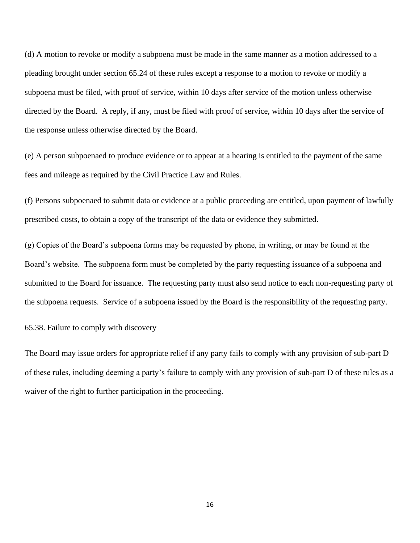(d) A motion to revoke or modify a subpoena must be made in the same manner as a motion addressed to a pleading brought under section 65.24 of these rules except a response to a motion to revoke or modify a subpoena must be filed, with proof of service, within 10 days after service of the motion unless otherwise directed by the Board. A reply, if any, must be filed with proof of service, within 10 days after the service of the response unless otherwise directed by the Board.

(e) A person subpoenaed to produce evidence or to appear at a hearing is entitled to the payment of the same fees and mileage as required by the Civil Practice Law and Rules.

(f) Persons subpoenaed to submit data or evidence at a public proceeding are entitled, upon payment of lawfully prescribed costs, to obtain a copy of the transcript of the data or evidence they submitted.

(g) Copies of the Board's subpoena forms may be requested by phone, in writing, or may be found at the Board's website. The subpoena form must be completed by the party requesting issuance of a subpoena and submitted to the Board for issuance. The requesting party must also send notice to each non-requesting party of the subpoena requests. Service of a subpoena issued by the Board is the responsibility of the requesting party.

65.38. Failure to comply with discovery

The Board may issue orders for appropriate relief if any party fails to comply with any provision of sub-part D of these rules, including deeming a party's failure to comply with any provision of sub-part D of these rules as a waiver of the right to further participation in the proceeding.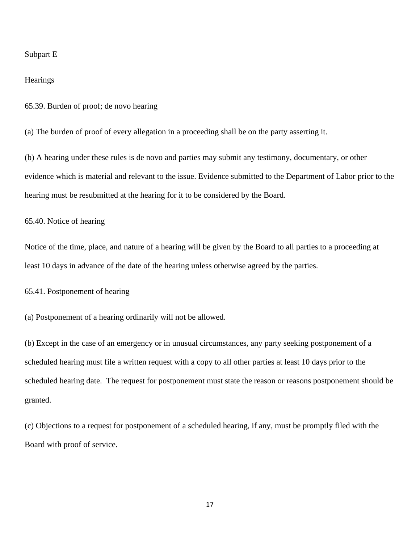#### Subpart E

## **Hearings**

65.39. Burden of proof; de novo hearing

(a) The burden of proof of every allegation in a proceeding shall be on the party asserting it.

(b) A hearing under these rules is de novo and parties may submit any testimony, documentary, or other evidence which is material and relevant to the issue. Evidence submitted to the Department of Labor prior to the hearing must be resubmitted at the hearing for it to be considered by the Board.

# 65.40. Notice of hearing

Notice of the time, place, and nature of a hearing will be given by the Board to all parties to a proceeding at least 10 days in advance of the date of the hearing unless otherwise agreed by the parties.

65.41. Postponement of hearing

(a) Postponement of a hearing ordinarily will not be allowed.

(b) Except in the case of an emergency or in unusual circumstances, any party seeking postponement of a scheduled hearing must file a written request with a copy to all other parties at least 10 days prior to the scheduled hearing date. The request for postponement must state the reason or reasons postponement should be granted.

(c) Objections to a request for postponement of a scheduled hearing, if any, must be promptly filed with the Board with proof of service.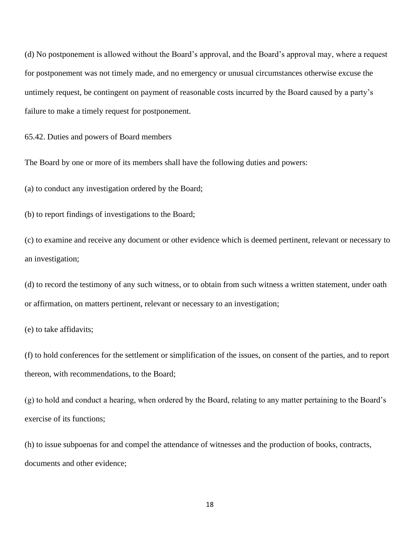(d) No postponement is allowed without the Board's approval, and the Board's approval may, where a request for postponement was not timely made, and no emergency or unusual circumstances otherwise excuse the untimely request, be contingent on payment of reasonable costs incurred by the Board caused by a party's failure to make a timely request for postponement.

65.42. Duties and powers of Board members

The Board by one or more of its members shall have the following duties and powers:

(a) to conduct any investigation ordered by the Board;

(b) to report findings of investigations to the Board;

(c) to examine and receive any document or other evidence which is deemed pertinent, relevant or necessary to an investigation;

(d) to record the testimony of any such witness, or to obtain from such witness a written statement, under oath or affirmation, on matters pertinent, relevant or necessary to an investigation;

(e) to take affidavits;

(f) to hold conferences for the settlement or simplification of the issues, on consent of the parties, and to report thereon, with recommendations, to the Board;

(g) to hold and conduct a hearing, when ordered by the Board, relating to any matter pertaining to the Board's exercise of its functions;

(h) to issue subpoenas for and compel the attendance of witnesses and the production of books, contracts, documents and other evidence;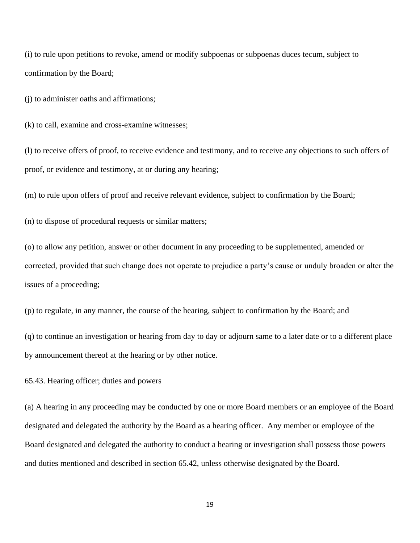(i) to rule upon petitions to revoke, amend or modify subpoenas or subpoenas duces tecum, subject to confirmation by the Board;

(j) to administer oaths and affirmations;

(k) to call, examine and cross-examine witnesses;

(l) to receive offers of proof, to receive evidence and testimony, and to receive any objections to such offers of proof, or evidence and testimony, at or during any hearing;

(m) to rule upon offers of proof and receive relevant evidence, subject to confirmation by the Board;

(n) to dispose of procedural requests or similar matters;

(o) to allow any petition, answer or other document in any proceeding to be supplemented, amended or corrected, provided that such change does not operate to prejudice a party's cause or unduly broaden or alter the issues of a proceeding;

(p) to regulate, in any manner, the course of the hearing, subject to confirmation by the Board; and

(q) to continue an investigation or hearing from day to day or adjourn same to a later date or to a different place by announcement thereof at the hearing or by other notice.

65.43. Hearing officer; duties and powers

(a) A hearing in any proceeding may be conducted by one or more Board members or an employee of the Board designated and delegated the authority by the Board as a hearing officer. Any member or employee of the Board designated and delegated the authority to conduct a hearing or investigation shall possess those powers and duties mentioned and described in section 65.42, unless otherwise designated by the Board.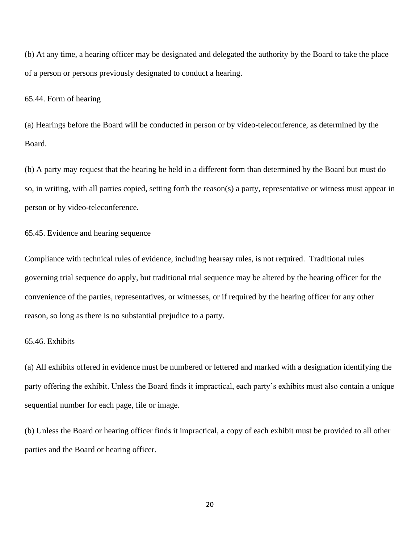(b) At any time, a hearing officer may be designated and delegated the authority by the Board to take the place of a person or persons previously designated to conduct a hearing.

#### 65.44. Form of hearing

(a) Hearings before the Board will be conducted in person or by video-teleconference, as determined by the Board.

(b) A party may request that the hearing be held in a different form than determined by the Board but must do so, in writing, with all parties copied, setting forth the reason(s) a party, representative or witness must appear in person or by video-teleconference.

# 65.45. Evidence and hearing sequence

Compliance with technical rules of evidence, including hearsay rules, is not required. Traditional rules governing trial sequence do apply, but traditional trial sequence may be altered by the hearing officer for the convenience of the parties, representatives, or witnesses, or if required by the hearing officer for any other reason, so long as there is no substantial prejudice to a party.

# 65.46. Exhibits

(a) All exhibits offered in evidence must be numbered or lettered and marked with a designation identifying the party offering the exhibit. Unless the Board finds it impractical, each party's exhibits must also contain a unique sequential number for each page, file or image.

(b) Unless the Board or hearing officer finds it impractical, a copy of each exhibit must be provided to all other parties and the Board or hearing officer.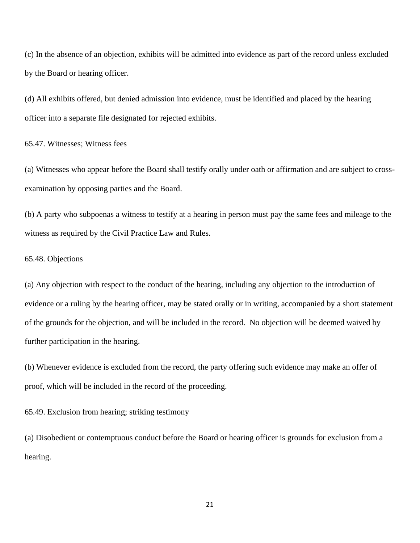(c) In the absence of an objection, exhibits will be admitted into evidence as part of the record unless excluded by the Board or hearing officer.

(d) All exhibits offered, but denied admission into evidence, must be identified and placed by the hearing officer into a separate file designated for rejected exhibits.

65.47. Witnesses; Witness fees

(a) Witnesses who appear before the Board shall testify orally under oath or affirmation and are subject to crossexamination by opposing parties and the Board.

(b) A party who subpoenas a witness to testify at a hearing in person must pay the same fees and mileage to the witness as required by the Civil Practice Law and Rules.

#### 65.48. Objections

(a) Any objection with respect to the conduct of the hearing, including any objection to the introduction of evidence or a ruling by the hearing officer, may be stated orally or in writing, accompanied by a short statement of the grounds for the objection, and will be included in the record. No objection will be deemed waived by further participation in the hearing.

(b) Whenever evidence is excluded from the record, the party offering such evidence may make an offer of proof, which will be included in the record of the proceeding.

65.49. Exclusion from hearing; striking testimony

(a) Disobedient or contemptuous conduct before the Board or hearing officer is grounds for exclusion from a hearing.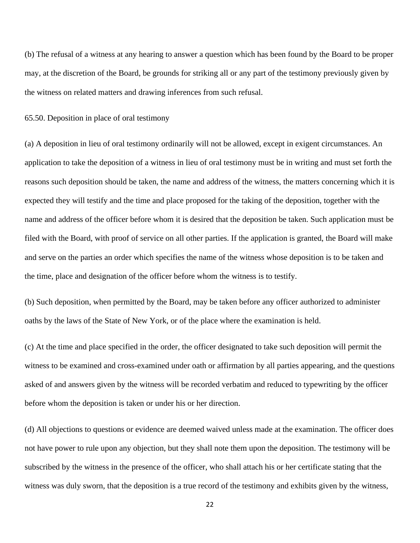(b) The refusal of a witness at any hearing to answer a question which has been found by the Board to be proper may, at the discretion of the Board, be grounds for striking all or any part of the testimony previously given by the witness on related matters and drawing inferences from such refusal.

65.50. Deposition in place of oral testimony

(a) A deposition in lieu of oral testimony ordinarily will not be allowed, except in exigent circumstances. An application to take the deposition of a witness in lieu of oral testimony must be in writing and must set forth the reasons such deposition should be taken, the name and address of the witness, the matters concerning which it is expected they will testify and the time and place proposed for the taking of the deposition, together with the name and address of the officer before whom it is desired that the deposition be taken. Such application must be filed with the Board, with proof of service on all other parties. If the application is granted, the Board will make and serve on the parties an order which specifies the name of the witness whose deposition is to be taken and the time, place and designation of the officer before whom the witness is to testify.

(b) Such deposition, when permitted by the Board, may be taken before any officer authorized to administer oaths by the laws of the State of New York, or of the place where the examination is held.

(c) At the time and place specified in the order, the officer designated to take such deposition will permit the witness to be examined and cross-examined under oath or affirmation by all parties appearing, and the questions asked of and answers given by the witness will be recorded verbatim and reduced to typewriting by the officer before whom the deposition is taken or under his or her direction.

(d) All objections to questions or evidence are deemed waived unless made at the examination. The officer does not have power to rule upon any objection, but they shall note them upon the deposition. The testimony will be subscribed by the witness in the presence of the officer, who shall attach his or her certificate stating that the witness was duly sworn, that the deposition is a true record of the testimony and exhibits given by the witness,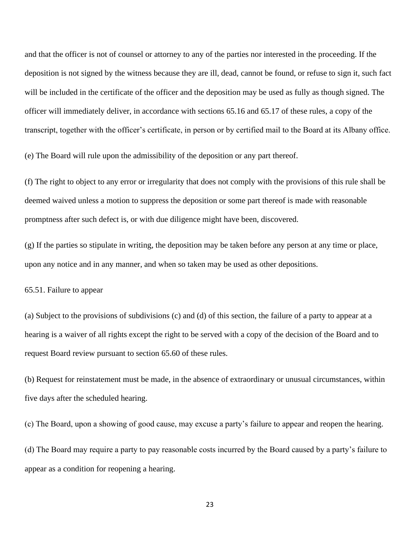and that the officer is not of counsel or attorney to any of the parties nor interested in the proceeding. If the deposition is not signed by the witness because they are ill, dead, cannot be found, or refuse to sign it, such fact will be included in the certificate of the officer and the deposition may be used as fully as though signed. The officer will immediately deliver, in accordance with sections 65.16 and 65.17 of these rules, a copy of the transcript, together with the officer's certificate, in person or by certified mail to the Board at its Albany office.

(e) The Board will rule upon the admissibility of the deposition or any part thereof.

(f) The right to object to any error or irregularity that does not comply with the provisions of this rule shall be deemed waived unless a motion to suppress the deposition or some part thereof is made with reasonable promptness after such defect is, or with due diligence might have been, discovered.

(g) If the parties so stipulate in writing, the deposition may be taken before any person at any time or place, upon any notice and in any manner, and when so taken may be used as other depositions.

65.51. Failure to appear

(a) Subject to the provisions of subdivisions (c) and (d) of this section, the failure of a party to appear at a hearing is a waiver of all rights except the right to be served with a copy of the decision of the Board and to request Board review pursuant to section 65.60 of these rules.

(b) Request for reinstatement must be made, in the absence of extraordinary or unusual circumstances, within five days after the scheduled hearing.

(c) The Board, upon a showing of good cause, may excuse a party's failure to appear and reopen the hearing.

(d) The Board may require a party to pay reasonable costs incurred by the Board caused by a party's failure to appear as a condition for reopening a hearing.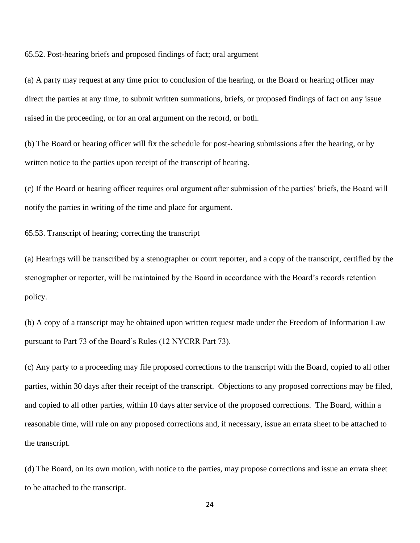65.52. Post-hearing briefs and proposed findings of fact; oral argument

(a) A party may request at any time prior to conclusion of the hearing, or the Board or hearing officer may direct the parties at any time, to submit written summations, briefs, or proposed findings of fact on any issue raised in the proceeding, or for an oral argument on the record, or both.

(b) The Board or hearing officer will fix the schedule for post-hearing submissions after the hearing, or by written notice to the parties upon receipt of the transcript of hearing.

(c) If the Board or hearing officer requires oral argument after submission of the parties' briefs, the Board will notify the parties in writing of the time and place for argument.

65.53. Transcript of hearing; correcting the transcript

(a) Hearings will be transcribed by a stenographer or court reporter, and a copy of the transcript, certified by the stenographer or reporter, will be maintained by the Board in accordance with the Board's records retention policy.

(b) A copy of a transcript may be obtained upon written request made under the Freedom of Information Law pursuant to Part 73 of the Board's Rules (12 NYCRR Part 73).

(c) Any party to a proceeding may file proposed corrections to the transcript with the Board, copied to all other parties, within 30 days after their receipt of the transcript. Objections to any proposed corrections may be filed, and copied to all other parties, within 10 days after service of the proposed corrections. The Board, within a reasonable time, will rule on any proposed corrections and, if necessary, issue an errata sheet to be attached to the transcript.

(d) The Board, on its own motion, with notice to the parties, may propose corrections and issue an errata sheet to be attached to the transcript.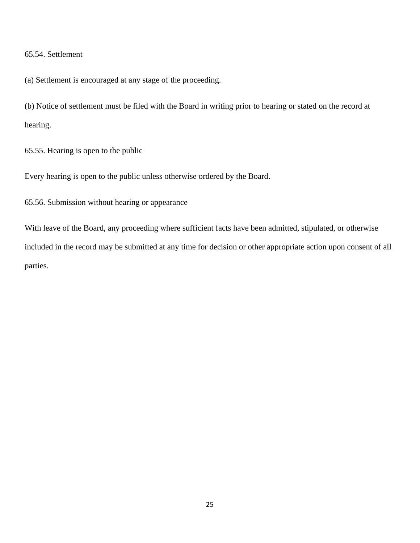# 65.54. Settlement

(a) Settlement is encouraged at any stage of the proceeding.

(b) Notice of settlement must be filed with the Board in writing prior to hearing or stated on the record at hearing.

65.55. Hearing is open to the public

Every hearing is open to the public unless otherwise ordered by the Board.

65.56. Submission without hearing or appearance

With leave of the Board, any proceeding where sufficient facts have been admitted, stipulated, or otherwise included in the record may be submitted at any time for decision or other appropriate action upon consent of all parties.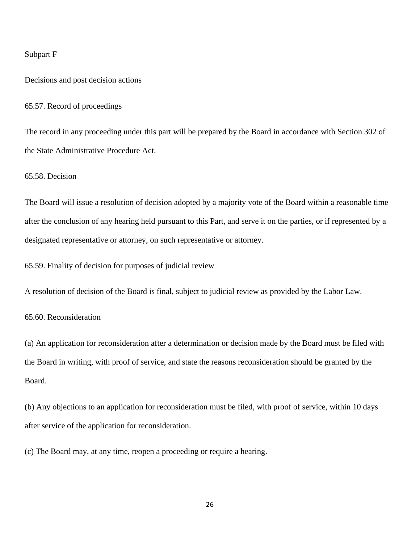#### Subpart F

Decisions and post decision actions

65.57. Record of proceedings

The record in any proceeding under this part will be prepared by the Board in accordance with Section 302 of the State Administrative Procedure Act.

65.58. Decision

The Board will issue a resolution of decision adopted by a majority vote of the Board within a reasonable time after the conclusion of any hearing held pursuant to this Part, and serve it on the parties, or if represented by a designated representative or attorney, on such representative or attorney.

65.59. Finality of decision for purposes of judicial review

A resolution of decision of the Board is final, subject to judicial review as provided by the Labor Law.

65.60. Reconsideration

(a) An application for reconsideration after a determination or decision made by the Board must be filed with the Board in writing, with proof of service, and state the reasons reconsideration should be granted by the Board.

(b) Any objections to an application for reconsideration must be filed, with proof of service, within 10 days after service of the application for reconsideration.

(c) The Board may, at any time, reopen a proceeding or require a hearing.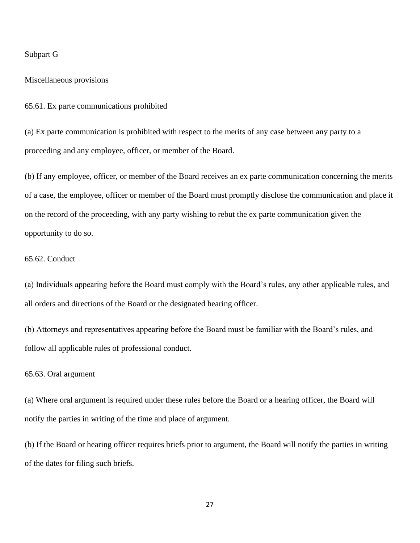#### Subpart G

#### Miscellaneous provisions

65.61. Ex parte communications prohibited

(a) Ex parte communication is prohibited with respect to the merits of any case between any party to a proceeding and any employee, officer, or member of the Board.

(b) If any employee, officer, or member of the Board receives an ex parte communication concerning the merits of a case, the employee, officer or member of the Board must promptly disclose the communication and place it on the record of the proceeding, with any party wishing to rebut the ex parte communication given the opportunity to do so.

#### 65.62. Conduct

(a) Individuals appearing before the Board must comply with the Board's rules, any other applicable rules, and all orders and directions of the Board or the designated hearing officer.

(b) Attorneys and representatives appearing before the Board must be familiar with the Board's rules, and follow all applicable rules of professional conduct.

#### 65.63. Oral argument

(a) Where oral argument is required under these rules before the Board or a hearing officer, the Board will notify the parties in writing of the time and place of argument.

(b) If the Board or hearing officer requires briefs prior to argument, the Board will notify the parties in writing of the dates for filing such briefs.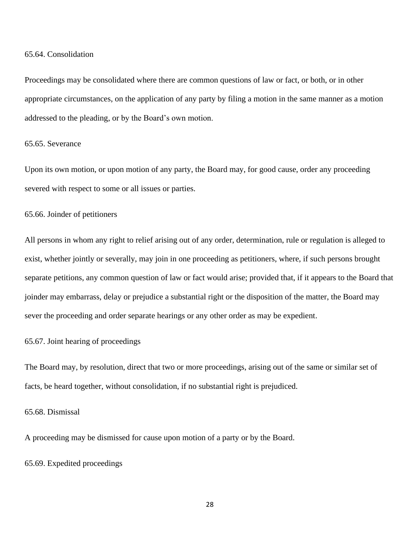#### 65.64. Consolidation

Proceedings may be consolidated where there are common questions of law or fact, or both, or in other appropriate circumstances, on the application of any party by filing a motion in the same manner as a motion addressed to the pleading, or by the Board's own motion.

# 65.65. Severance

Upon its own motion, or upon motion of any party, the Board may, for good cause, order any proceeding severed with respect to some or all issues or parties.

#### 65.66. Joinder of petitioners

All persons in whom any right to relief arising out of any order, determination, rule or regulation is alleged to exist, whether jointly or severally, may join in one proceeding as petitioners, where, if such persons brought separate petitions, any common question of law or fact would arise; provided that, if it appears to the Board that joinder may embarrass, delay or prejudice a substantial right or the disposition of the matter, the Board may sever the proceeding and order separate hearings or any other order as may be expedient.

#### 65.67. Joint hearing of proceedings

The Board may, by resolution, direct that two or more proceedings, arising out of the same or similar set of facts, be heard together, without consolidation, if no substantial right is prejudiced.

# 65.68. Dismissal

A proceeding may be dismissed for cause upon motion of a party or by the Board.

# 65.69. Expedited proceedings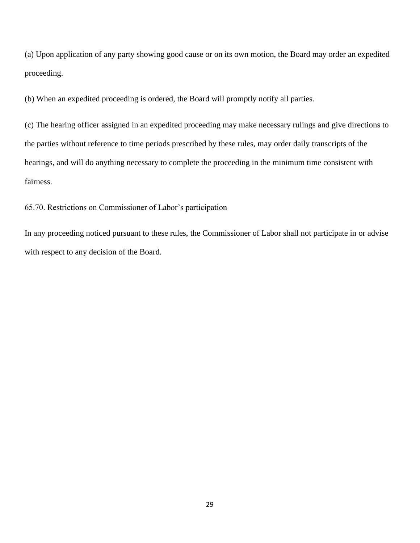(a) Upon application of any party showing good cause or on its own motion, the Board may order an expedited proceeding.

(b) When an expedited proceeding is ordered, the Board will promptly notify all parties.

(c) The hearing officer assigned in an expedited proceeding may make necessary rulings and give directions to the parties without reference to time periods prescribed by these rules, may order daily transcripts of the hearings, and will do anything necessary to complete the proceeding in the minimum time consistent with fairness.

65.70. Restrictions on Commissioner of Labor's participation

In any proceeding noticed pursuant to these rules, the Commissioner of Labor shall not participate in or advise with respect to any decision of the Board.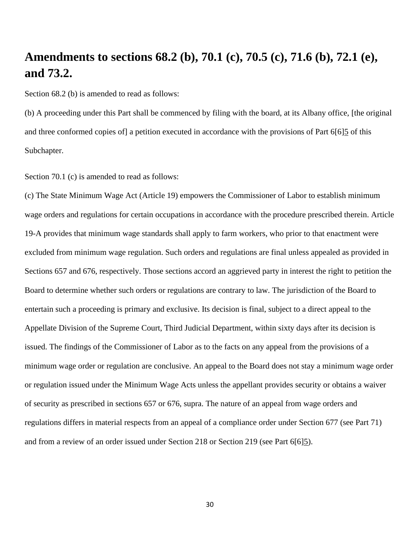# **Amendments to sections 68.2 (b), 70.1 (c), 70.5 (c), 71.6 (b), 72.1 (e), and 73.2.**

Section 68.2 (b) is amended to read as follows:

(b) A proceeding under this Part shall be commenced by filing with the board, at its Albany office, [the original and three conformed copies of] a petition executed in accordance with the provisions of Part 6[6]5 of this Subchapter.

Section 70.1 (c) is amended to read as follows:

(c) The State Minimum Wage Act (Article 19) empowers the Commissioner of Labor to establish minimum wage orders and regulations for certain occupations in accordance with the procedure prescribed therein. Article 19-A provides that minimum wage standards shall apply to farm workers, who prior to that enactment were excluded from minimum wage regulation. Such orders and regulations are final unless appealed as provided in Sections 657 and 676, respectively. Those sections accord an aggrieved party in interest the right to petition the Board to determine whether such orders or regulations are contrary to law. The jurisdiction of the Board to entertain such a proceeding is primary and exclusive. Its decision is final, subject to a direct appeal to the Appellate Division of the Supreme Court, Third Judicial Department, within sixty days after its decision is issued. The findings of the Commissioner of Labor as to the facts on any appeal from the provisions of a minimum wage order or regulation are conclusive. An appeal to the Board does not stay a minimum wage order or regulation issued under the Minimum Wage Acts unless the appellant provides security or obtains a waiver of security as prescribed in sections 657 or 676, supra. The nature of an appeal from wage orders and regulations differs in material respects from an appeal of a compliance order under Section 677 (see Part 71) and from a review of an order issued under Section 218 or Section 219 (see Part 6[6]5).